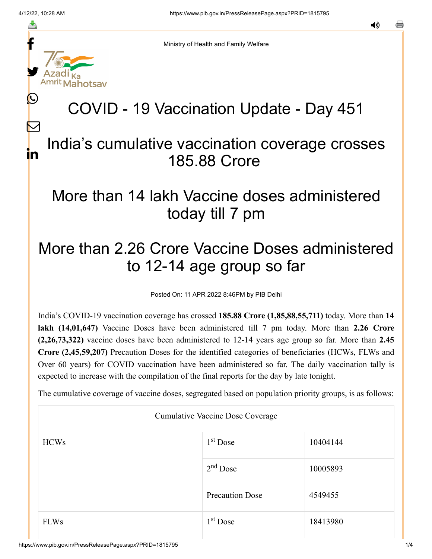f

≛

y.

lahotsav

L

 $\bm{\nabla}$ 

in

Ministry of Health and Family Welfare

# COVID - 19 Vaccination Update - Day 451

### India's cumulative vaccination coverage crosses 185.88 Crore

### More than 14 lakh Vaccine doses administered today till 7 pm

## More than 2.26 Crore Vaccine Doses administered to 12-14 age group so far

Posted On: 11 APR 2022 8:46PM by PIB Delhi

India's COVID-19 vaccination coverage has crossed **185.88 Crore (1,85,88,55,711)** today. More than **14 lakh (14,01,647)** Vaccine Doses have been administered till 7 pm today. More than **2.26 Crore (2,26,73,322)** vaccine doses have been administered to 12-14 years age group so far. More than **2.45 Crore (2,45,59,207)** Precaution Doses for the identified categories of beneficiaries (HCWs, FLWs and Over 60 years) for COVID vaccination have been administered so far. The daily vaccination tally is expected to increase with the compilation of the final reports for the day by late tonight.

The cumulative coverage of vaccine doses, segregated based on population priority groups, is as follows:

| <b>Cumulative Vaccine Dose Coverage</b> |                        |          |  |  |
|-----------------------------------------|------------------------|----------|--|--|
| <b>HCWs</b>                             | $1st$ Dose             | 10404144 |  |  |
|                                         | $2nd$ Dose             | 10005893 |  |  |
|                                         | <b>Precaution Dose</b> | 4549455  |  |  |
| <b>FLWs</b>                             | $1st$ Dose             | 18413980 |  |  |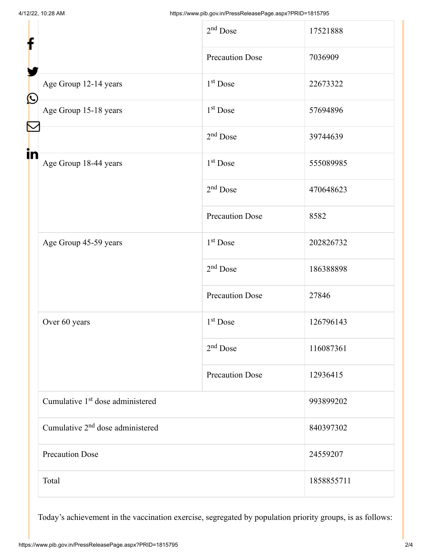| f                                                                                                                                       | $2nd$ Dose             | 17521888   |
|-----------------------------------------------------------------------------------------------------------------------------------------|------------------------|------------|
|                                                                                                                                         | <b>Precaution Dose</b> | 7036909    |
| Age Group 12-14 years<br>$\bigcirc$                                                                                                     | $1st$ Dose             | 22673322   |
| Age Group 15-18 years<br>$\mathcal{R}% _{T}=\mathcal{R}_{T}\!\left( a,b\right) ,\ \mathcal{R}_{T}=\mathcal{R}_{T}\!\left( a,b\right) ,$ | $1st$ Dose             | 57694896   |
| in                                                                                                                                      | $2nd$ Dose             | 39744639   |
| Age Group 18-44 years                                                                                                                   | $1st$ Dose             | 555089985  |
|                                                                                                                                         | $2nd$ Dose             | 470648623  |
|                                                                                                                                         | <b>Precaution Dose</b> | 8582       |
| Age Group 45-59 years                                                                                                                   | 1 <sup>st</sup> Dose   | 202826732  |
|                                                                                                                                         | $2nd$ Dose             | 186388898  |
|                                                                                                                                         | <b>Precaution Dose</b> | 27846      |
| Over 60 years                                                                                                                           | $1st$ Dose             | 126796143  |
|                                                                                                                                         | $2nd$ Dose             | 116087361  |
|                                                                                                                                         | <b>Precaution Dose</b> | 12936415   |
| Cumulative 1 <sup>st</sup> dose administered                                                                                            |                        | 993899202  |
| Cumulative 2 <sup>nd</sup> dose administered                                                                                            |                        | 840397302  |
| <b>Precaution Dose</b>                                                                                                                  |                        | 24559207   |
| Total                                                                                                                                   |                        | 1858855711 |

Today's achievement in the vaccination exercise, segregated by population priority groups, is as follows: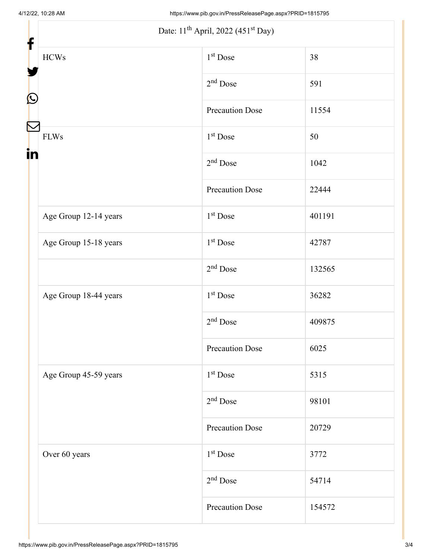| f                 | Date: 11 <sup>th</sup> April, 2022 (451 <sup>st</sup> Day) |                        |        |
|-------------------|------------------------------------------------------------|------------------------|--------|
|                   | $\rm HCWs$                                                 | $1st$ Dose             | 38     |
|                   |                                                            | $2nd$ Dose             | 591    |
| $\mathbf{\Omega}$ |                                                            | Precaution Dose        | 11554  |
| in                | ${\rm FLWs}$                                               | $1st$ Dose             | 50     |
|                   |                                                            | $2nd$ Dose             | 1042   |
|                   |                                                            | <b>Precaution Dose</b> | 22444  |
|                   | Age Group 12-14 years                                      | $1st$ Dose             | 401191 |
|                   | Age Group 15-18 years                                      | $1st$ Dose             | 42787  |
|                   |                                                            | $2nd$ Dose             | 132565 |
|                   | Age Group 18-44 years                                      | $1st$ Dose             | 36282  |
|                   |                                                            | $2nd$ Dose             | 409875 |
|                   |                                                            | <b>Precaution Dose</b> | 6025   |
|                   | Age Group 45-59 years                                      | $1st$ Dose             | 5315   |
|                   |                                                            | $2nd$ Dose             | 98101  |
|                   |                                                            | <b>Precaution Dose</b> | 20729  |
|                   | Over 60 years                                              | 1 <sup>st</sup> Dose   | 3772   |
|                   |                                                            | $2nd$ Dose             | 54714  |
|                   |                                                            | <b>Precaution Dose</b> | 154572 |